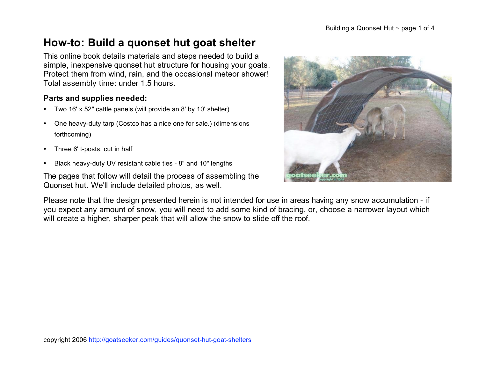# **How-to: Build a quonset hut goat shelter**

This online book details materials and steps needed to build a simple, inexpensive quonset hut structure for housing your goats. Protect them from wind, rain, and the occasional meteor shower! Total assembly time: under 1.5 hours.

#### **Parts and supplies needed:**

- Two 16' x 52" cattle panels (will provide an 8' by 10' shelter)
- One heavy-duty tarp (Costco has a nice one for sale.) (dimensions forthcoming)
- Three 6' t-posts, cut in half
- Black heavy-duty UV resistant cable ties 8" and 10" lengths

The pages that follow will detail the process of assembling the Quonset hut. We'll include detailed photos, as well.

Please note that the design presented herein is not intended for use in areas having any snow accumulation - if you expect any amount of snow, you will need to add some kind of bracing, or, choose a narrower layout which will create a higher, sharper peak that will allow the snow to slide off the roof.



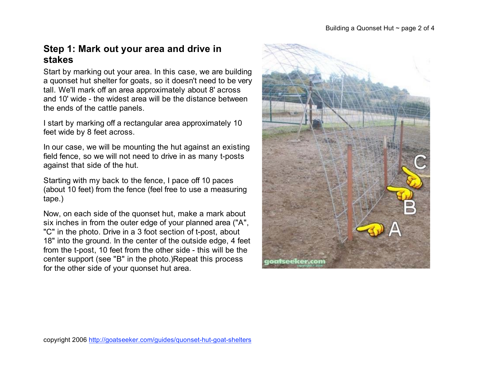# **Step 1: Mark out your area and drive in stakes**

Start by marking out your area. In this case, we are building a quonset hut shelter for goats, so it doesn't need to be very tall. We'll mark off an area approximately about 8' across and 10' wide - the widest area will be the distance between the ends of the cattle panels.

I start by marking off a rectangular area approximately 10 feet wide by 8 feet across.

In our case, we will be mounting the hut against an existing field fence, so we will not need to drive in as many t-posts against that side of the hut.

Starting with my back to the fence, I pace off 10 paces (about 10 feet) from the fence (feel free to use a measuring tape.)

Now, on each side of the quonset hut, make a mark about six inches in from the outer edge of your planned area ("A", "C" in the photo. Drive in a 3 foot section of t-post, about 18" into the ground. In the center of the outside edge, 4 feet from the t-post, 10 feet from the other side - this will be the center support (see "B" in the photo.)Repeat this process for the other side of your quonset hut area.





copyright 2006 http://goatseeker.com/guides/quonset-hut-goat-shelters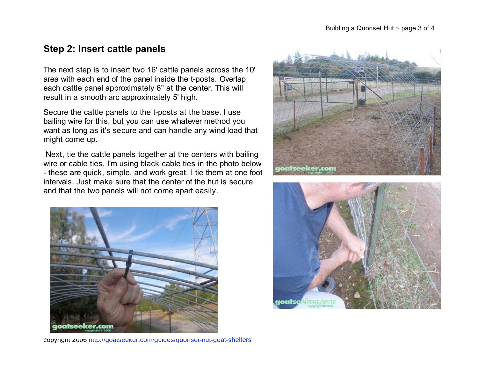## **Step 2: Insert cattle panels**

The next step is to insert two 16' cattle panels across the 10' area with each end of the panel inside the t-posts. Overlap each cattle panel approximately 6" at the center. This will result in a smooth arc approximately 5' high.

Secure the cattle panels to the t-posts at the base. I use bailing wire for this, but you can use whatever method you want as long as it's secure and can handle any wind load that might come up.

 Next, tie the cattle panels together at the centers with bailing wire or cable ties. I'm using black cable ties in the photo below - these are quick, simple, and work great. I tie them at one foot intervals. Just make sure that the center of the hut is secure and that the two panels will not come apart easily.





copyright 2006 http://goatseeker.com/guides/quonset-hut-goat-shelters